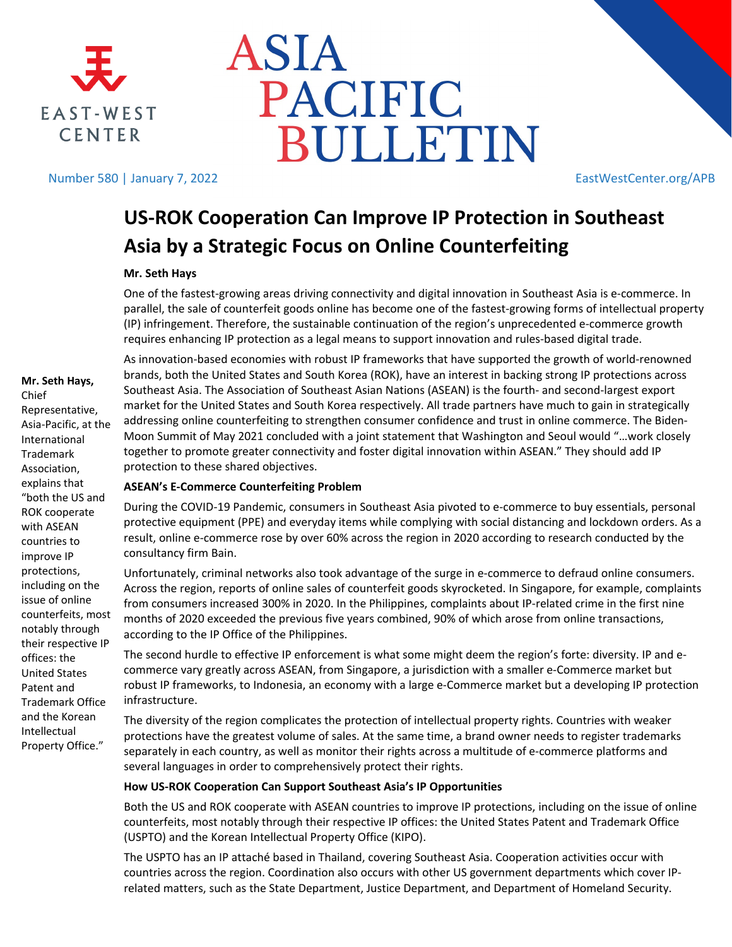

ASIA PACIFIC **BULLETIN** 

Number 580 | January 7, 2022 EastWestCenter.org/APB

# **US-ROK Cooperation Can Improve IP Protection in Southeast Asia by a Strategic Focus on Online Counterfeiting**

#### **Mr. Seth Hays**

One of the fastest-growing areas driving connectivity and digital innovation in Southeast Asia is e-commerce. In parallel, the sale of counterfeit goods online has become one of the fastest-growing forms of intellectual property (IP) infringement. Therefore, the sustainable continuation of the region's unprecedented e-commerce growth requires enhancing IP protection as a legal means to support innovation and rules-based digital trade.

**Mr. Seth Hays,** Chief Representative, Asia-Pacific, at the International Trademark Association, explains that "both the US and ROK cooperate with ASEAN countries to improve IP protections, including on the issue of online counterfeits, most notably through their respective IP offices: the United States Patent and Trademark Office and the Korean Intellectual Property Office."

As innovation-based economies with robust IP frameworks that have supported the growth of world-renowned brands, both the United States and South Korea (ROK), have an interest in backing strong IP protections across Southeast Asia. The Association of Southeast Asian Nations (ASEAN) is the fourth- and second-largest export market for the United States and South Korea respectively. All trade partners have much to gain in strategically addressing online counterfeiting to strengthen consumer confidence and trust in online commerce. The Biden-Moon Summit of May 2021 concluded with a joint statement that Washington and Seoul would "…work closely together to promote greater connectivity and foster digital innovation within ASEAN." They should add IP protection to these shared objectives.

## **ASEAN's E-Commerce Counterfeiting Problem**

During the COVID-19 Pandemic, consumers in Southeast Asia pivoted to e-commerce to buy essentials, personal protective equipment (PPE) and everyday items while complying with social distancing and lockdown orders. As a result, online e-commerce rose by over 60% across the region in 2020 according to research conducted by the consultancy firm Bain.

Unfortunately, criminal networks also took advantage of the surge in e-commerce to defraud online consumers. Across the region, reports of online sales of counterfeit goods skyrocketed. In Singapore, for example, complaints from consumers increased 300% in 2020. In the Philippines, complaints about IP-related crime in the first nine months of 2020 exceeded the previous five years combined, 90% of which arose from online transactions, according to the IP Office of the Philippines.

The second hurdle to effective IP enforcement is what some might deem the region's forte: diversity. IP and ecommerce vary greatly across ASEAN, from Singapore, a jurisdiction with a smaller e-Commerce market but robust IP frameworks, to Indonesia, an economy with a large e-Commerce market but a developing IP protection infrastructure.

The diversity of the region complicates the protection of intellectual property rights. Countries with weaker protections have the greatest volume of sales. At the same time, a brand owner needs to register trademarks separately in each country, as well as monitor their rights across a multitude of e-commerce platforms and several languages in order to comprehensively protect their rights.

## **How US-ROK Cooperation Can Support Southeast Asia's IP Opportunities**

Both the US and ROK cooperate with ASEAN countries to improve IP protections, including on the issue of online counterfeits, most notably through their respective IP offices: the United States Patent and Trademark Office (USPTO) and the Korean Intellectual Property Office (KIPO).

The USPTO has an IP attaché based in Thailand, covering Southeast Asia. Cooperation activities occur with countries across the region. Coordination also occurs with other US government departments which cover IPrelated matters, such as the State Department, Justice Department, and Department of Homeland Security.